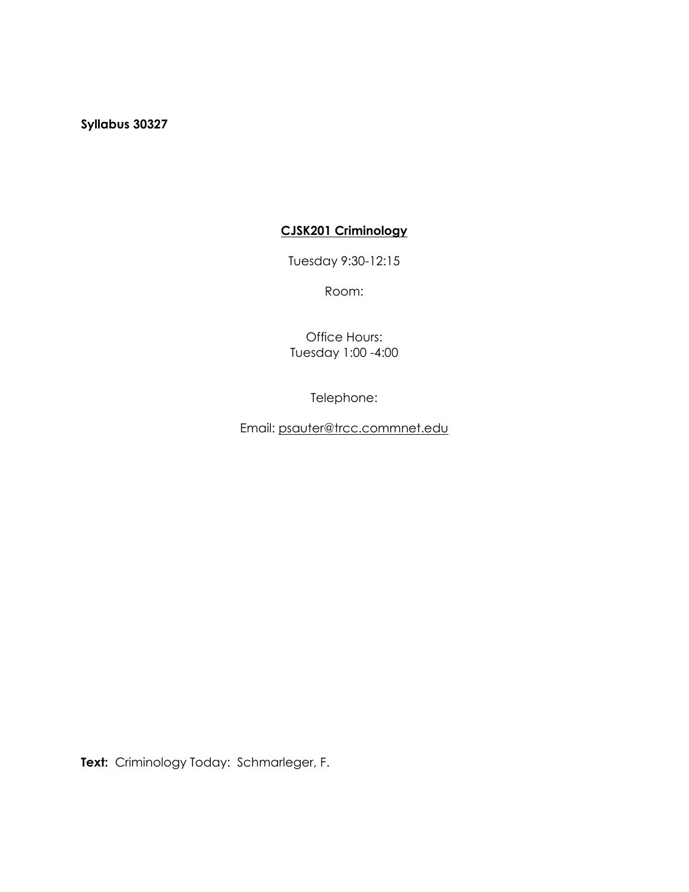**Syllabus 30327**

# **CJSK201 Criminology**

Tuesday 9:30-12:15

Room:

Office Hours: Tuesday 1:00 -4:00

Telephone:

Email: [psauter@trcc.commnet.edu](mailto:psauter@trcc.commnet.edu)

**Text:** Criminology Today: Schmarleger, F.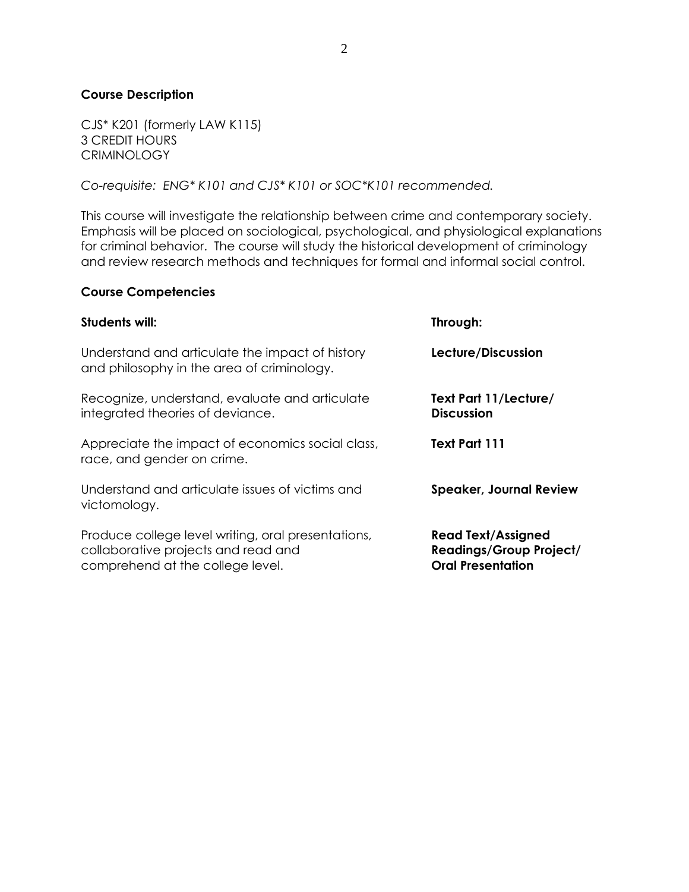## **Course Description**

CJS\* K201 (formerly LAW K115) 3 CREDIT HOURS CRIMINOLOGY

*Co-requisite: ENG\* K101 and CJS\* K101 or SOC\*K101 recommended.*

This course will investigate the relationship between crime and contemporary society. Emphasis will be placed on sociological, psychological, and physiological explanations for criminal behavior. The course will study the historical development of criminology and review research methods and techniques for formal and informal social control.

#### **Course Competencies**

| Students will:                                                                                                                | Through:                                                                                |
|-------------------------------------------------------------------------------------------------------------------------------|-----------------------------------------------------------------------------------------|
| Understand and articulate the impact of history<br>and philosophy in the area of criminology.                                 | Lecture/Discussion                                                                      |
| Recognize, understand, evaluate and articulate<br>integrated theories of deviance.                                            | Text Part 11/Lecture/<br><b>Discussion</b>                                              |
| Appreciate the impact of economics social class,<br>race, and gender on crime.                                                | Text Part 111                                                                           |
| Understand and articulate issues of victims and<br>victomology.                                                               | <b>Speaker, Journal Review</b>                                                          |
| Produce college level writing, oral presentations,<br>collaborative projects and read and<br>comprehend at the college level. | <b>Read Text/Assigned</b><br><b>Readings/Group Project/</b><br><b>Oral Presentation</b> |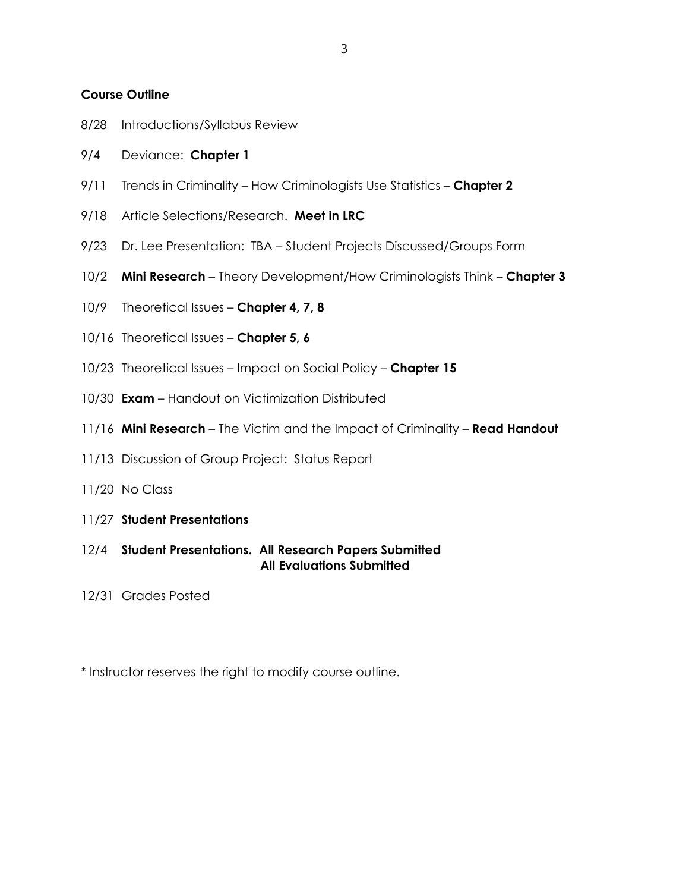### **Course Outline**

- 8/28 Introductions/Syllabus Review
- 9/4 Deviance: **Chapter 1**
- 9/11 Trends in Criminality How Criminologists Use Statistics **Chapter 2**
- 9/18 Article Selections/Research. **Meet in LRC**
- 9/23 Dr. Lee Presentation: TBA Student Projects Discussed/Groups Form
- 10/2 **Mini Research** Theory Development/How Criminologists Think **Chapter 3**
- 10/9 Theoretical Issues **Chapter 4, 7, 8**
- 10/16 Theoretical Issues **Chapter 5, 6**
- 10/23 Theoretical Issues Impact on Social Policy **Chapter 15**
- 10/30 **Exam**  Handout on Victimization Distributed
- 11/16 **Mini Research** The Victim and the Impact of Criminality **Read Handout**
- 11/13 Discussion of Group Project: Status Report
- 11/20 No Class
- 11/27 **Student Presentations**
- 12/4 **Student Presentations. All Research Papers Submitted All Evaluations Submitted**
- 12/31 Grades Posted

\* Instructor reserves the right to modify course outline.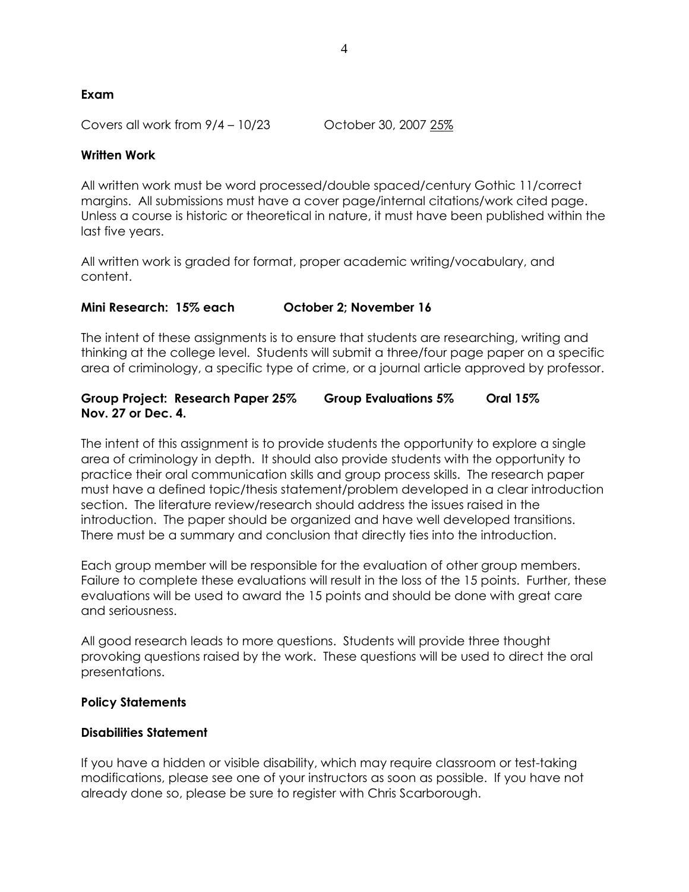# **Exam**

Covers all work from 9/4 – 10/23 October 30, 2007 25%

### **Written Work**

All written work must be word processed/double spaced/century Gothic 11/correct margins. All submissions must have a cover page/internal citations/work cited page. Unless a course is historic or theoretical in nature, it must have been published within the last five years.

All written work is graded for format, proper academic writing/vocabulary, and content.

### **Mini Research: 15% each October 2; November 16**

The intent of these assignments is to ensure that students are researching, writing and thinking at the college level. Students will submit a three/four page paper on a specific area of criminology, a specific type of crime, or a journal article approved by professor.

### **Group Project: Research Paper 25% Group Evaluations 5% Oral 15% Nov. 27 or Dec. 4.**

The intent of this assignment is to provide students the opportunity to explore a single area of criminology in depth. It should also provide students with the opportunity to practice their oral communication skills and group process skills. The research paper must have a defined topic/thesis statement/problem developed in a clear introduction section. The literature review/research should address the issues raised in the introduction. The paper should be organized and have well developed transitions. There must be a summary and conclusion that directly ties into the introduction.

Each group member will be responsible for the evaluation of other group members. Failure to complete these evaluations will result in the loss of the 15 points. Further, these evaluations will be used to award the 15 points and should be done with great care and seriousness.

All good research leads to more questions. Students will provide three thought provoking questions raised by the work. These questions will be used to direct the oral presentations.

### **Policy Statements**

### **Disabilities Statement**

If you have a hidden or visible disability, which may require classroom or test-taking modifications, please see one of your instructors as soon as possible. If you have not already done so, please be sure to register with Chris Scarborough.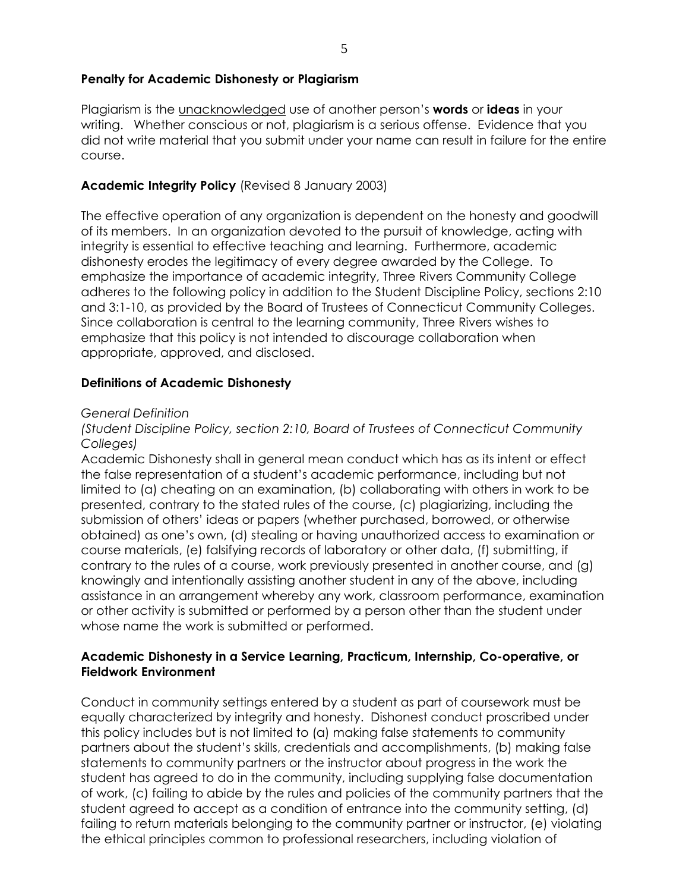## **Penalty for Academic Dishonesty or Plagiarism**

Plagiarism is the unacknowledged use of another person's **words** or **ideas** in your writing. Whether conscious or not, plagiarism is a serious offense. Evidence that you did not write material that you submit under your name can result in failure for the entire course.

# **Academic Integrity Policy** (Revised 8 January 2003)

The effective operation of any organization is dependent on the honesty and goodwill of its members. In an organization devoted to the pursuit of knowledge, acting with integrity is essential to effective teaching and learning. Furthermore, academic dishonesty erodes the legitimacy of every degree awarded by the College. To emphasize the importance of academic integrity, Three Rivers Community College adheres to the following policy in addition to the Student Discipline Policy, sections 2:10 and 3:1-10, as provided by the Board of Trustees of Connecticut Community Colleges. Since collaboration is central to the learning community, Three Rivers wishes to emphasize that this policy is not intended to discourage collaboration when appropriate, approved, and disclosed.

### **Definitions of Academic Dishonesty**

#### *General Definition*

*(Student Discipline Policy, section 2:10, Board of Trustees of Connecticut Community Colleges)*

Academic Dishonesty shall in general mean conduct which has as its intent or effect the false representation of a student's academic performance, including but not limited to (a) cheating on an examination, (b) collaborating with others in work to be presented, contrary to the stated rules of the course, (c) plagiarizing, including the submission of others' ideas or papers (whether purchased, borrowed, or otherwise obtained) as one's own, (d) stealing or having unauthorized access to examination or course materials, (e) falsifying records of laboratory or other data, (f) submitting, if contrary to the rules of a course, work previously presented in another course, and (g) knowingly and intentionally assisting another student in any of the above, including assistance in an arrangement whereby any work, classroom performance, examination or other activity is submitted or performed by a person other than the student under whose name the work is submitted or performed.

## **Academic Dishonesty in a Service Learning, Practicum, Internship, Co-operative, or Fieldwork Environment**

Conduct in community settings entered by a student as part of coursework must be equally characterized by integrity and honesty. Dishonest conduct proscribed under this policy includes but is not limited to (a) making false statements to community partners about the student's skills, credentials and accomplishments, (b) making false statements to community partners or the instructor about progress in the work the student has agreed to do in the community, including supplying false documentation of work, (c) failing to abide by the rules and policies of the community partners that the student agreed to accept as a condition of entrance into the community setting, (d) failing to return materials belonging to the community partner or instructor, (e) violating the ethical principles common to professional researchers, including violation of